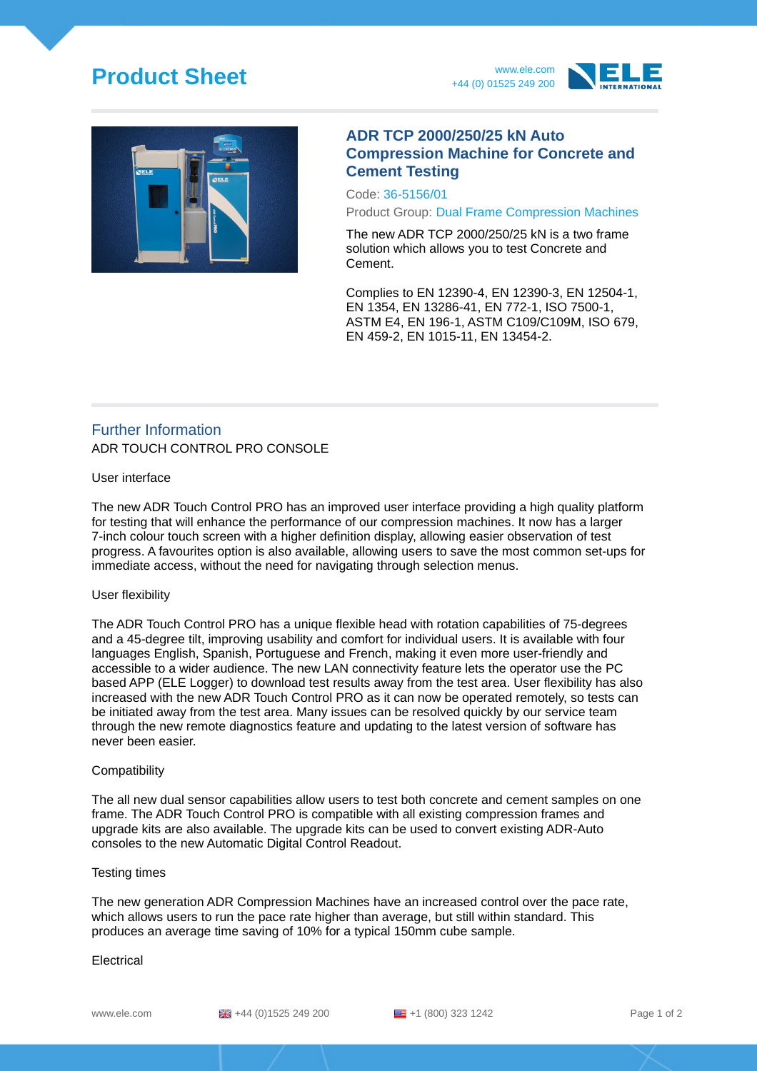## **Product Sheet** www.ele.com





### **ADR TCP 2000/250/25 kN Auto Compression Machine for Concrete and Cement Testing**

Code: 36-5156/01

Product Group: Dual Frame Compression Machines

The new ADR TCP 2000/250/25 kN is a two frame solution which allows you to test Concrete and Cement.

Complies to EN 12390-4, EN 12390-3, EN 12504-1, EN 1354, EN 13286-41, EN 772-1, ISO 7500-1, ASTM E4, EN 196-1, ASTM C109/C109M, ISO 679, EN 459-2, EN 1015-11, EN 13454-2.

## Further Information ADR TOUCH CONTROL PRO CONSOLE

#### User interface

The new ADR Touch Control PRO has an improved user interface providing a high quality platform for testing that will enhance the performance of our compression machines. It now has a larger 7-inch colour touch screen with a higher definition display, allowing easier observation of test progress. A favourites option is also available, allowing users to save the most common set-ups for immediate access, without the need for navigating through selection menus.

#### User flexibility

The ADR Touch Control PRO has a unique flexible head with rotation capabilities of 75-degrees and a 45-degree tilt, improving usability and comfort for individual users. It is available with four languages English, Spanish, Portuguese and French, making it even more user-friendly and accessible to a wider audience. The new LAN connectivity feature lets the operator use the PC based APP (ELE Logger) to download test results away from the test area. User flexibility has also increased with the new ADR Touch Control PRO as it can now be operated remotely, so tests can be initiated away from the test area. Many issues can be resolved quickly by our service team through the new remote diagnostics feature and updating to the latest version of software has never been easier.

#### Compatibility

The all new dual sensor capabilities allow users to test both concrete and cement samples on one frame. The ADR Touch Control PRO is compatible with all existing compression frames and upgrade kits are also available. The upgrade kits can be used to convert existing ADR-Auto consoles to the new Automatic Digital Control Readout.

#### Testing times

The new generation ADR Compression Machines have an increased control over the pace rate, which allows users to run the pace rate higher than average, but still within standard. This produces an average time saving of 10% for a typical 150mm cube sample.

#### Electrical